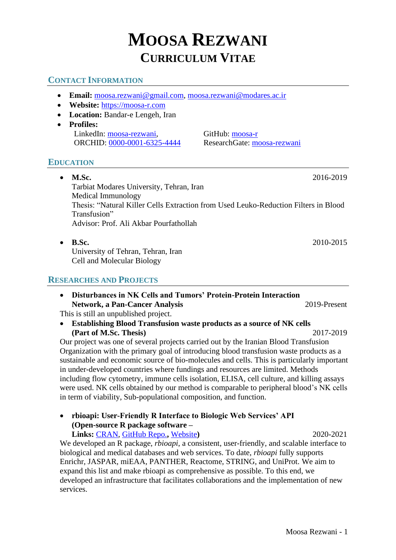# **MOOSA REZWANI CURRICULUM VITAE**

# **CONTACT INFORMATION**

- **Email:** [moosa.rezwani@gmail.com,](mailto:moosa.rezwani@gmail.com) [moosa.rezwani@modares.ac.ir](mailto:moosa.rezwani@modares.ac.ir)
- **Website:** [https://moosa-r.com](https://moosa-r.com/)
- **Location:** Bandar-e Lengeh, Iran
- **Profiles:** LinkedIn: [moosa-rezwani,](https://www.linkedin.com/in/moosa-rezwani/) GitHub: [moosa-r](https://github.com/moosa-r/)

ORCHID: [0000-0001-6325-4444](https://orcid.org/0000-0001-6325-4444) ResearchGate: [moosa-rezwani](https://www.researchgate.net/profile/moosa-rezwani/)

# **EDUCATION**

- **M.Sc.** 2016-2019 Tarbiat Modares University, Tehran, Iran Medical Immunology Thesis: "Natural Killer Cells Extraction from Used Leuko-Reduction Filters in Blood Transfusion" Advisor: Prof. Ali Akbar Pourfathollah
- **B.Sc.** 2010-2015 University of Tehran, Tehran, Iran Cell and Molecular Biology

## **RESEARCHES AND PROJECTS**

• **Disturbances in NK Cells and Tumors' Protein-Protein Interaction Network, a Pan-Cancer Analysis** 2019-Present

This is still an unpublished project.

• **Establishing Blood Transfusion waste products as a source of NK cells (Part of M.Sc. Thesis)** 2017-2019

Our project was one of several projects carried out by the Iranian Blood Transfusion Organization with the primary goal of introducing blood transfusion waste products as a sustainable and economic source of bio-molecules and cells. This is particularly important in under-developed countries where fundings and resources are limited. Methods including flow cytometry, immune cells isolation, ELISA, cell culture, and killing assays were used. NK cells obtained by our method is comparable to peripheral blood's NK cells in term of viability, Sub-populational composition, and function.

• **rbioapi: User-Friendly R Interface to Biologic Web Services' API (Open-source R package software –**

**Links:** [CRAN,](https://cran.r-project.org/package=rbioapi) [GitHub Repo.](https://github.com/moosa-r/rbioapi)**,** [Website](https://rbioapi.moosa-r.com/)**)** 2020-2021 We developed an R package, *rbioapi*, a consistent, user-friendly, and scalable interface to biological and medical databases and web services. To date, *rbioapi* fully supports Enrichr, JASPAR, miEAA, PANTHER, Reactome, STRING, and UniProt. We aim to expand this list and make rbioapi as comprehensive as possible. To this end, we developed an infrastructure that facilitates collaborations and the implementation of new services.

Moosa Rezwani - 1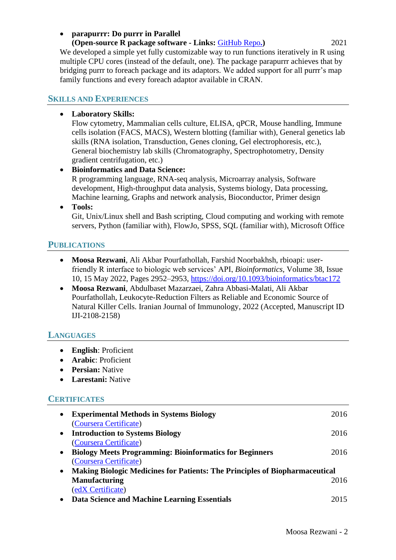### • **parapurrr: Do purrr in Parallel**

#### **(Open-source R package software - Links:** [GitHub Repo](https://github.com/moosa-r/parapurrr)**.)** 2021 We developed a simple yet fully customizable way to run functions iteratively in R using multiple CPU cores (instead of the default, one). The package parapurrr achieves that by bridging purrr to foreach package and its adaptors. We added support for all purrr's map family functions and every foreach adaptor available in CRAN.

## **SKILLS AND EXPERIENCES**

## • **Laboratory Skills:**

Flow cytometry, Mammalian cells culture, ELISA, qPCR, Mouse handling, Immune cells isolation (FACS, MACS), Western blotting (familiar with), General genetics lab skills (RNA isolation, Transduction, Genes cloning, Gel electrophoresis, etc.), General biochemistry lab skills (Chromatography, Spectrophotometry, Density gradient centrifugation, etc.)

• **Bioinformatics and Data Science:** R programming language, RNA-seq analysis, Microarray analysis, Software development, High-throughput data analysis, Systems biology, Data processing, Machine learning, Graphs and network analysis, Bioconductor, Primer design • **Tools:**

Git, Unix/Linux shell and Bash scripting, Cloud computing and working with remote servers, Python (familiar with), FlowJo, SPSS, SQL (familiar with), Microsoft Office

## **PUBLICATIONS**

- **Moosa Rezwani**, Ali Akbar Pourfathollah, Farshid Noorbakhsh, rbioapi: userfriendly R interface to biologic web services' API, *Bioinformatics*, Volume 38, Issue 10, 15 May 2022, Pages 2952–2953,<https://doi.org/10.1093/bioinformatics/btac172>
- **Moosa Rezwani**, Abdulbaset Mazarzaei, Zahra Abbasi-Malati, Ali Akbar Pourfathollah, Leukocyte-Reduction Filters as Reliable and Economic Source of Natural Killer Cells. Iranian Journal of Immunology, 2022 (Accepted, Manuscript ID IJI-2108-2158)

#### **LANGUAGES**

- **English**: Proficient
- **Arabic**: Proficient
- **Persian:** Native
- **Larestani:** Native

#### **CERTIFICATES**

| $\bullet$ | <b>Experimental Methods in Systems Biology</b>                                     | 2016 |
|-----------|------------------------------------------------------------------------------------|------|
|           | (Coursera Certificate)                                                             |      |
| $\bullet$ | <b>Introduction to Systems Biology</b>                                             | 2016 |
|           | (Coursera Certificate)                                                             |      |
| $\bullet$ | <b>Biology Meets Programming: Bioinformatics for Beginners</b>                     | 2016 |
|           | (Coursera Certificate)                                                             |      |
| $\bullet$ | <b>Making Biologic Medicines for Patients: The Principles of Biopharmaceutical</b> |      |
|           | <b>Manufacturing</b>                                                               | 2016 |
|           | (edX Certificate)                                                                  |      |
|           | Data Science and Machine Learning Essentials                                       | 2015 |